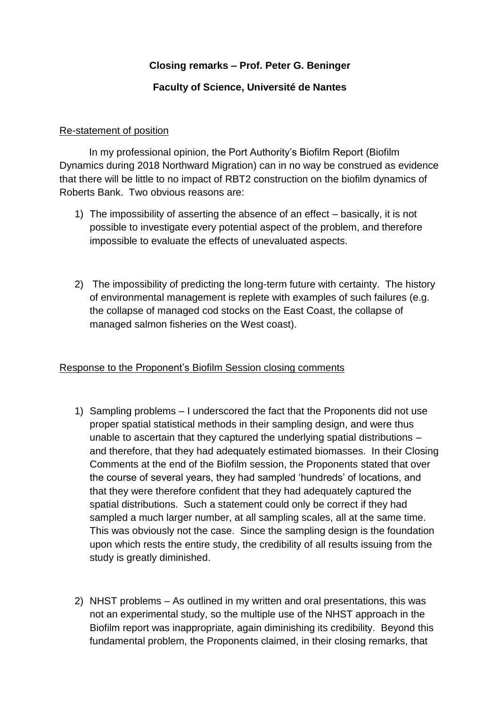## **Closing remarks – Prof. Peter G. Beninger**

## **Faculty of Science, Université de Nantes**

## Re-statement of position

In my professional opinion, the Port Authority's Biofilm Report (Biofilm Dynamics during 2018 Northward Migration) can in no way be construed as evidence that there will be little to no impact of RBT2 construction on the biofilm dynamics of Roberts Bank. Two obvious reasons are:

- 1) The impossibility of asserting the absence of an effect basically, it is not possible to investigate every potential aspect of the problem, and therefore impossible to evaluate the effects of unevaluated aspects.
- 2) The impossibility of predicting the long-term future with certainty. The history of environmental management is replete with examples of such failures (e.g. the collapse of managed cod stocks on the East Coast, the collapse of managed salmon fisheries on the West coast).

## Response to the Proponent's Biofilm Session closing comments

- 1) Sampling problems I underscored the fact that the Proponents did not use proper spatial statistical methods in their sampling design, and were thus unable to ascertain that they captured the underlying spatial distributions – and therefore, that they had adequately estimated biomasses. In their Closing Comments at the end of the Biofilm session, the Proponents stated that over the course of several years, they had sampled 'hundreds' of locations, and that they were therefore confident that they had adequately captured the spatial distributions. Such a statement could only be correct if they had sampled a much larger number, at all sampling scales, all at the same time. This was obviously not the case. Since the sampling design is the foundation upon which rests the entire study, the credibility of all results issuing from the study is greatly diminished.
- 2) NHST problems As outlined in my written and oral presentations, this was not an experimental study, so the multiple use of the NHST approach in the Biofilm report was inappropriate, again diminishing its credibility. Beyond this fundamental problem, the Proponents claimed, in their closing remarks, that